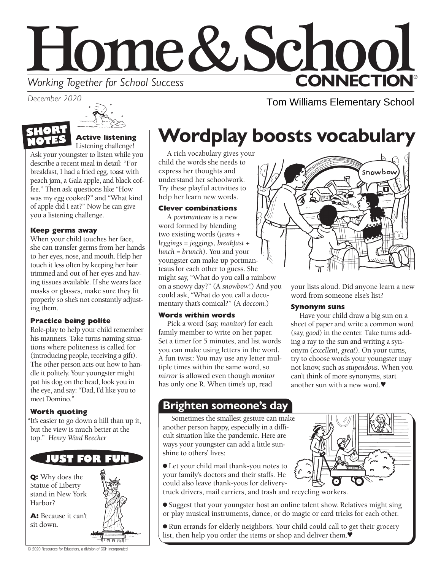# Home&Schoo **CONNECTION® Working Together for School Success**

*December 2020*

Tom Williams Elementary School

# **Wordplay boosts vocabulary**

A rich vocabulary gives your child the words she needs to express her thoughts and understand her schoolwork. Try these playful activities to help her learn new words.

### **Clever combinations**

A *portmanteau* is a new word formed by blending two existing words (*jeans* + *leggings* = *jeggings*, *breakfast* + *lunch* = *brunch*). You and your youngster can make up portmanteaus for each other to guess. She might say, "What do you call a rainbow on a snowy day?" (A *snowbow*!) And you could ask, "What do you call a documentary that's comical?" (A *doccom*.)

### **Words within words**

Pick a word (say, *monitor*) for each family member to write on her paper. Set a timer for 5 minutes, and list words you can make using letters in the word. A fun twist: You may use any letter multiple times within the same word, so *mirror* is allowed even though *monitor* has only one R. When time's up, read

### **Brighten someone's day**

Sometimes the smallest gesture can make another person happy, especially in a difficult situation like the pandemic. Here are ways your youngster can add a little sunshine to others' lives:

● Let your child mail thank-you notes to your family's doctors and their staffs. He could also leave thank-yous for delivery-



your lists aloud. Did anyone learn a new

snowbou

Have your child draw a big sun on a sheet of paper and write a common word (say, *good*) in the center. Take turns adding a ray to the sun and writing a synonym (*excellent*, *great*). On your turns, try to choose words your youngster may not know, such as *stupendous*. When you can't think of more synonyms, start another sun with a new word.♥

word from someone else's list?

**Synonym suns**

truck drivers, mail carriers, and trash and recycling workers.

- Suggest that your youngster host an online talent show. Relatives might sing or play musical instruments, dance, or do magic or card tricks for each other.
- Run errands for elderly neighbors. Your child could call to get their grocery list, then help you order the items or shop and deliver them.♥



#### **Active listening**  Listening challenge!

Ask your youngster to listen while you describe a recent meal in detail: "For breakfast, I had a fried egg, toast with peach jam, a Gala apple, and black coffee." Then ask questions like "How was my egg cooked?" and "What kind of apple did I eat?" Now he can give you a listening challenge.

### **Keep germs away**

When your child touches her face, she can transfer germs from her hands to her eyes, nose, and mouth. Help her touch it less often by keeping her hair trimmed and out of her eyes and having tissues available. If she wears face masks or glasses, make sure they fit properly so she's not constantly adjusting them.

### **Practice being polite**

Role-play to help your child remember his manners. Take turns naming situations where politeness is called for (introducing people, receiving a gift). The other person acts out how to handle it politely. Your youngster might pat his dog on the head, look you in the eye, and say: "Dad, I'd like you to meet Domino."

### **Worth quoting**

"It's easier to go down a hill than up it, but the view is much better at the top." *Henry Ward Beecher*